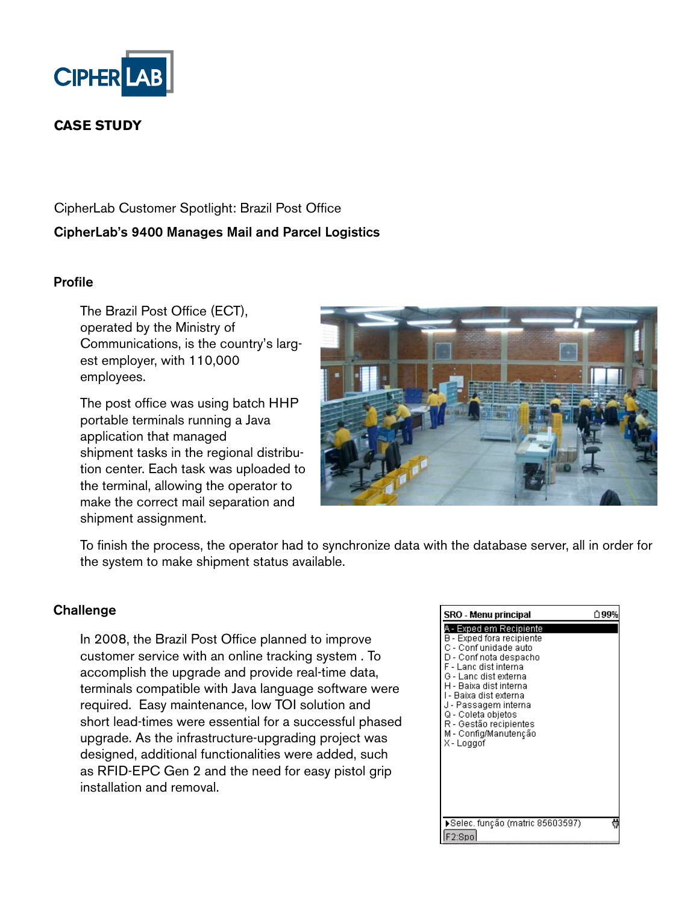

# **CASE STUDY**

CipherLab Customer Spotlight: Brazil Post Office CipherLab's 9400 Manages Mail and Parcel Logistics

#### Profile

The Brazil Post Office (ECT), operated by the Ministry of Communications, is the country's largest employer, with 110,000 employees.

The post office was using batch HHP portable terminals running a Java application that managed shipment tasks in the regional distribution center. Each task was uploaded to the terminal, allowing the operator to make the correct mail separation and shipment assignment.



To finish the process, the operator had to synchronize data with the database server, all in order for the system to make shipment status available.

#### **Challenge**

In 2008, the Brazil Post Office planned to improve customer service with an online tracking system . To accomplish the upgrade and provide real-time data, terminals compatible with Java language software were required. Easy maintenance, low TOI solution and short lead-times were essential for a successful phased upgrade. As the infrastructure-upgrading project was designed, additional functionalities were added, such as RFID-EPC Gen 2 and the need for easy pistol grip installation and removal.

| SRO - Menu principal                                                                                                                                                                                                                                                                                                                 | ↑99% |
|--------------------------------------------------------------------------------------------------------------------------------------------------------------------------------------------------------------------------------------------------------------------------------------------------------------------------------------|------|
| . - Exped em Reci <u>piente</u><br>B - Exped fora recipiente<br>C - Conf unidade auto<br>D - Conf nota despacho<br>F - Lanc dist interna<br>G - Lanc dist externa<br>H - Baixa dist interna<br>I - Baixa dist externa<br>J - Passagem interna<br>Q - Coleta objetos<br>R - Gestão recipientes<br>M - Config/Manutenção<br>X - Loggof |      |
| ▶Selec, função (matric 85603597)<br>F2:Spo                                                                                                                                                                                                                                                                                           |      |